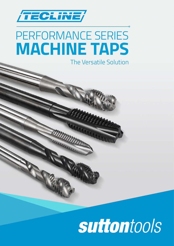

## PERFORMANCE SERIES **MACHINE TAPS**

The Versatile Solution

## suttontools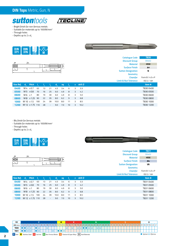## *DIN Taps Metric, Gun, N*

**suttontools** 



- *Bright finish for non-ferrous metals*
- *Suitable for materials up to 1000N/mm2*
- *Through holes*
- $-$  Depths up to 2 x d<sub>1</sub>



| <b></b> |
|---------|
|         |
|         |

|           |                 |                 |     |    |                          |               |     |                 |                |                   | <b>Catalogue Code</b>            | <b>T830</b>      |
|-----------|-----------------|-----------------|-----|----|--------------------------|---------------|-----|-----------------|----------------|-------------------|----------------------------------|------------------|
|           |                 |                 |     |    |                          |               |     |                 |                |                   | <b>Discount Group</b>            | D0402            |
| k<br>©    | $\mathsf{Id}_2$ |                 |     |    |                          |               |     |                 |                |                   | <b>Material</b>                  | <b>HSSE</b>      |
|           |                 |                 |     |    |                          |               | d.  |                 |                |                   | <b>Surface Finish</b>            | Brt              |
|           |                 |                 |     |    |                          |               |     |                 |                |                   | <b>Sutton Designation</b>        | N                |
|           |                 |                 |     |    |                          |               |     |                 |                |                   | <b>Geometry</b>                  |                  |
|           |                 |                 |     |    |                          |               |     |                 |                |                   | <b>Chamfer</b>                   | Form B / 4.5 x P |
|           |                 |                 |     |    |                          |               |     |                 |                |                   | <b>Limit &amp; Nut Tolerance</b> | ISO 2 / 6H       |
| Size Ref. | d.              | <b>Pitch</b>    |     |    |                          | $\mathsf{d},$ | sq  |                 | $\mathbf{Z}$   | drill $\emptyset$ |                                  | Item#            |
| 0400      | $M4 \times 0.7$ |                 | 63  | 13 | 21                       | 4.5           | 3.4 | 6               | 3              | 3.3               |                                  | T8300400         |
| 0500      | M 5 x 0.8       |                 | 70  | 16 | 25                       | 6.0           | 4.9 | 8               | 3              | 4.2               |                                  | T8300500         |
| 0600      | $M6 \times 1$   |                 | 80  | 19 | 30                       | 6.0           | 4.9 | 8               | 3              | 5.0               |                                  | T830 0600        |
| 0800      |                 | M 8 x 1.25 90   |     | 22 | 35                       | 8.0           | 6.2 | 9               | $\overline{3}$ | 6.8               |                                  | T8300800         |
| 1000      | M 10 x 1.5      |                 | 100 | 24 | 39                       | 10.0          | 8.0 | 11              | 3              | 8.5               |                                  | T830 1000        |
| 1200      |                 | M 12 x 1.75 110 |     | 28 | $\overline{\phantom{a}}$ | 9.0           | 7.0 | 10 <sup>°</sup> | 3              | 10.2              |                                  | T830 1200        |

*- Blu finish for ferrous metals*

*- Suitable for materials up to 1000N/mm2*

*- Through holes*

- Depths up to 2 x d<sub>1</sub>



**Representative** 

 $\mathbf{I}_2$ 

 $\mathbf{L}$ 

 $\int d_1$ 

 $|d$ 

ł



| <b>Catalogue Code</b>     | <b>T831</b>             |  |  |  |  |
|---------------------------|-------------------------|--|--|--|--|
| <b>Discount Group</b>     | D0402                   |  |  |  |  |
| <b>Material</b>           | <b>HSSE</b>             |  |  |  |  |
| <b>Surface Finish</b>     | Blu                     |  |  |  |  |
| <b>Sutton Designation</b> | VA                      |  |  |  |  |
| <b>Geometry</b>           |                         |  |  |  |  |
| <b>Chamfer</b>            | Form $B / 4.5 \times P$ |  |  |  |  |
| Limit & Nut Tolerance     | ISO 7 / 64              |  |  |  |  |

|              |               |                 |     |    |                          |      |     |     |                         |                                  | Limit & Nut Tolerance | 150 Z / 6H |
|--------------|---------------|-----------------|-----|----|--------------------------|------|-----|-----|-------------------------|----------------------------------|-----------------------|------------|
| Size Ref. d. |               | Pitch I,        |     |    |                          | d,   | sq  |     |                         | $\overline{z}$ drill $\emptyset$ |                       | Item #     |
| 0400         |               | $M4 \times 0.7$ | 63  | 13 | 21                       | 4.5  | 3.4 | - 6 | $\overline{\mathbf{3}}$ | $-3.3$                           |                       | T8310400   |
| 0500         |               | M 5 x 0.8       | 70  | 16 | 25                       | 6.0  | 4.9 | 8   | 3                       | 4.2                              |                       | T8310500   |
| 0600         | $M6 \times 1$ |                 | 80  | 19 | 30                       | 6.0  | 4.9 | 8   | 3                       | 5.0                              |                       | T8310600   |
| 0800         |               | M 8 x 1.25 90   |     | 22 | 35                       | 8.0  | 6.2 | -9  | $\overline{3}$          | 6.8                              |                       | T8310800   |
| 1000         |               | M 10 x 1.5      | 100 | 24 | 39                       | 10.0 | 8.0 | 11  | 3                       | 8.5                              |                       | T831 1000  |
| 1200         |               | M 12 x 1.75 110 |     | 28 | $\overline{\phantom{a}}$ | 9.0  | 7.0 | 10  | 3                       | 10.2                             |                       | T831 1200  |

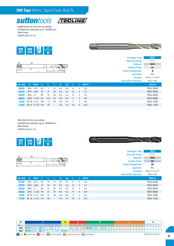

- *Bright finish for non-ferrous metals*
- *Suitable for materials up to 1000N/mm2*
- *Blind holes*
- Depths up to 2 x d<sub>1</sub>





|           |                                      |                 |      |                |                          |                  |     |    |                |                   | <b>Catalogue Code</b>            | <b>T832</b>             |
|-----------|--------------------------------------|-----------------|------|----------------|--------------------------|------------------|-----|----|----------------|-------------------|----------------------------------|-------------------------|
|           |                                      |                 |      |                |                          |                  |     |    |                |                   | <b>Discount Group</b>            | D0402                   |
| Ms<br>Ms  | $\mathsf{d}_{\scriptscriptstyle{2}}$ |                 |      |                |                          |                  |     |    |                |                   | <b>Material</b>                  | <b>HSSE</b>             |
|           |                                      |                 |      |                |                          | 'llin            | d,  |    |                |                   | <b>Surface Finish</b>            | Brt                     |
|           |                                      |                 |      |                |                          |                  |     |    |                |                   | <b>Sutton Designation</b>        | N                       |
|           |                                      |                 |      |                |                          |                  |     |    |                |                   | <b>Geometry</b>                  | <b>R40</b>              |
|           |                                      |                 |      |                |                          |                  |     |    |                |                   | <b>Chamfer</b>                   | Form $C / 2.5 \times P$ |
|           |                                      |                 |      |                |                          |                  |     |    |                |                   | <b>Limit &amp; Nut Tolerance</b> | ISO 2 / 6H              |
|           |                                      |                 |      |                |                          |                  |     |    |                |                   |                                  |                         |
| Size Ref. | d,                                   | <b>Pitch</b>    | - L. |                |                          | $\mathbf{d}_{2}$ | sq  |    | $\mathbf{Z}$   | drill $\emptyset$ |                                  | Item#                   |
| 0400      |                                      | $M4 \times 0.7$ | 63   | $\overline{7}$ | 21                       | 4.5              | 3.4 | 6  | 3              | 3.3               |                                  | T832 0400               |
| 0500      |                                      | M 5 x 0.8       | 70   | 8              | 25                       | 6.0              | 4.9 | 8  | $\overline{3}$ | 4.2               |                                  | T8320500                |
| 0600      | $M6 \times 1$                        |                 | 80   | 10             | 30                       | 6.0              | 4.9 | 8  | 3              | 5.0               |                                  | T832 0600               |
| 0800      |                                      | M 8 x 1.25      | 90   | 12.5           | 35                       | 8.0              | 6.2 | 9  | 3              | 6.8               |                                  | T8320800                |
| 1000      | M 10 x 1.5                           |                 | 100  | 15             | 39                       | 10.0             | 8.0 | 11 | 3              | 8.5               |                                  | T832 1000               |
| 1200      |                                      | M 12 x 1.75 110 |      | 18             | $\overline{\phantom{a}}$ | 9.0              | 7.0 | 10 | 3              | 10.2              |                                  | T832 1200               |

*- Blu finish for ferrous metals*

*- Suitable for materials up to 1000N/mm2*

*- Blind holes*

- Depths up to 2 x d<sub>1</sub>

*Size Ref. d1 Pitch l*



 $\mathbf{d}_2$ 

 $\ddagger$ 



|   |   |                   | <b>Discount Group</b>            | D0402                 |
|---|---|-------------------|----------------------------------|-----------------------|
|   |   |                   | <b>Material</b>                  | <b>HSSE</b>           |
|   |   |                   | <b>Surface Finish</b>            | <b>Blu</b>            |
|   |   |                   | <b>Sutton Designation</b>        | VA                    |
|   |   |                   | <b>Geometry</b>                  | <b>R45</b>            |
|   |   |                   | <b>Chamfer</b>                   | Form $C/2.5 \times P$ |
|   |   |                   | <b>Limit &amp; Nut Tolerance</b> | ISO 2 / 6H            |
| 4 | z | drill $\emptyset$ |                                  | Item#                 |

*Catalogue Code T833*

| Size Ref.                  | d.            | Pitch L         |    |     |        | ۱d,  | <b>sq</b> |     |                         | z drill $\emptyset$ | Item#     |
|----------------------------|---------------|-----------------|----|-----|--------|------|-----------|-----|-------------------------|---------------------|-----------|
| 0400                       |               | $M4 \times 0.7$ | 63 | 13  | 21     | 4.5  | 3.4       | -6  | $\overline{\mathbf{3}}$ | - 3.3               | T8330400  |
| 0500                       |               | M 5 x 0.8       | 70 | 16  | 25     | 6.0  | 4.9       | 8   | 3                       | 4.2                 | T8330500  |
| 0600                       | $M6 \times 1$ |                 | 80 | 19  | 30     | 6.0  | 4.9       | -8  | 3                       | 5.0                 | T8330600  |
| 0800                       |               | M 8 x 1.25 90   |    | 22  | -35    | 8.0  | 6.2       | 9   | -3                      | 6.8                 | T8330800  |
| <b>1000</b> M 10 x 1.5 100 |               |                 |    | 24  | 39     | 10.0 | 8.0       | -11 | 3                       | 8.5                 | T833 1000 |
| 1200                       |               | M 12 x 1.75 110 |    | -28 | $\sim$ | 9.0  | 7.0       | 10  | 3                       | 10.2                | T833 1200 |